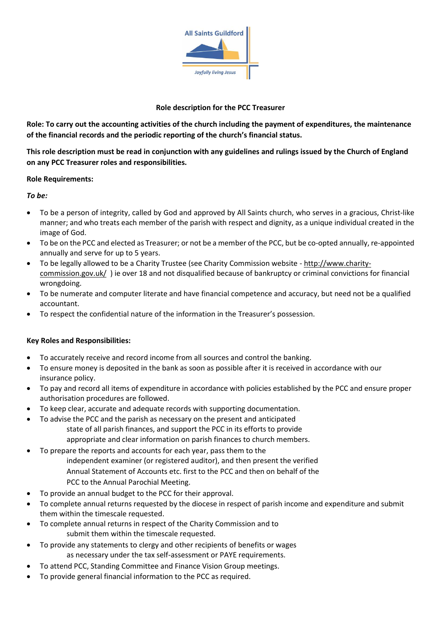

#### **Role description for the PCC Treasurer**

**Role: To carry out the accounting activities of the church including the payment of expenditures, the maintenance of the financial records and the periodic reporting of the church's financial status.** 

**This role description must be read in conjunction with any guidelines and rulings issued by the Church of England on any PCC Treasurer roles and responsibilities.** 

#### **Role Requirements:**

#### *To be:*

- To be a person of integrity, called by God and approved by All Saints church, who serves in a gracious, Christ-like manner; and who treats each member of the parish with respect and dignity, as a unique individual created in the image of God.
- To be on the PCC and elected as Treasurer; or not be a member of the PCC, but be co-opted annually, re-appointed annually and serve for up to 5 years.
- To be legally allowed to be a Charity Trustee (see Charity Commission website [http://www.charity](http://www.charity-commission.gov.uk/)[commission.gov.uk/](http://www.charity-commission.gov.uk/) ) ie over 18 and not disqualified because of bankruptcy or criminal convictions for financial wrongdoing.
- To be numerate and computer literate and have financial competence and accuracy, but need not be a qualified accountant.
- To respect the confidential nature of the information in the Treasurer's possession.

## **Key Roles and Responsibilities:**

- To accurately receive and record income from all sources and control the banking.
- To ensure money is deposited in the bank as soon as possible after it is received in accordance with our insurance policy.
- To pay and record all items of expenditure in accordance with policies established by the PCC and ensure proper authorisation procedures are followed.
- To keep clear, accurate and adequate records with supporting documentation.
- To advise the PCC and the parish as necessary on the present and anticipated state of all parish finances, and support the PCC in its efforts to provide appropriate and clear information on parish finances to church members.
- To prepare the reports and accounts for each year, pass them to the independent examiner (or registered auditor), and then present the verified Annual Statement of Accounts etc. first to the PCC and then on behalf of the PCC to the Annual Parochial Meeting.
- To provide an annual budget to the PCC for their approval.
- To complete annual returns requested by the diocese in respect of parish income and expenditure and submit them within the timescale requested.
- To complete annual returns in respect of the Charity Commission and to submit them within the timescale requested.
- To provide any statements to clergy and other recipients of benefits or wages as necessary under the tax self-assessment or PAYE requirements.
- To attend PCC, Standing Committee and Finance Vision Group meetings.
- To provide general financial information to the PCC as required.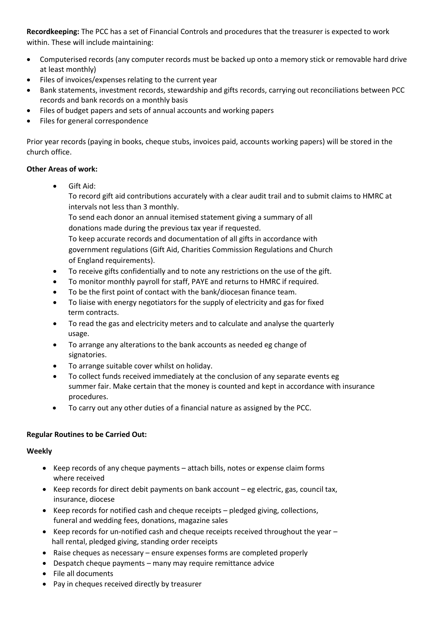**Recordkeeping:** The PCC has a set of Financial Controls and procedures that the treasurer is expected to work within. These will include maintaining:

- Computerised records (any computer records must be backed up onto a memory stick or removable hard drive at least monthly)
- Files of invoices/expenses relating to the current year
- Bank statements, investment records, stewardship and gifts records, carrying out reconciliations between PCC records and bank records on a monthly basis
- Files of budget papers and sets of annual accounts and working papers
- Files for general correspondence

Prior year records (paying in books, cheque stubs, invoices paid, accounts working papers) will be stored in the church office.

#### **Other Areas of work:**

• Gift Aid:

To record gift aid contributions accurately with a clear audit trail and to submit claims to HMRC at intervals not less than 3 monthly.

To send each donor an annual itemised statement giving a summary of all donations made during the previous tax year if requested.

To keep accurate records and documentation of all gifts in accordance with government regulations (Gift Aid, Charities Commission Regulations and Church of England requirements).

- To receive gifts confidentially and to note any restrictions on the use of the gift.
- To monitor monthly payroll for staff, PAYE and returns to HMRC if required.
- To be the first point of contact with the bank/diocesan finance team.
- To liaise with energy negotiators for the supply of electricity and gas for fixed term contracts.
- To read the gas and electricity meters and to calculate and analyse the quarterly usage.
- To arrange any alterations to the bank accounts as needed eg change of signatories.
- To arrange suitable cover whilst on holiday.
- To collect funds received immediately at the conclusion of any separate events eg summer fair. Make certain that the money is counted and kept in accordance with insurance procedures.
- To carry out any other duties of a financial nature as assigned by the PCC.

## **Regular Routines to be Carried Out:**

## **Weekly**

- Keep records of any cheque payments attach bills, notes or expense claim forms where received
- Keep records for direct debit payments on bank account eg electric, gas, council tax, insurance, diocese
- Keep records for notified cash and cheque receipts pledged giving, collections, funeral and wedding fees, donations, magazine sales
- Keep records for un-notified cash and cheque receipts received throughout the year  $$ hall rental, pledged giving, standing order receipts
- Raise cheques as necessary ensure expenses forms are completed properly
- Despatch cheque payments many may require remittance advice
- File all documents
- Pay in cheques received directly by treasurer